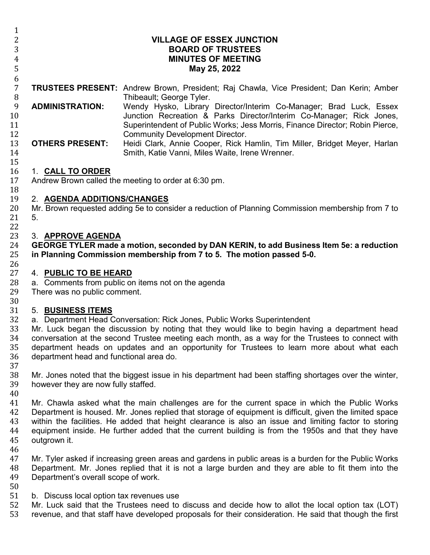| $\mathbf{1}$         |                                                                                                                                      |                                                                                                                                                                                                                            |  |
|----------------------|--------------------------------------------------------------------------------------------------------------------------------------|----------------------------------------------------------------------------------------------------------------------------------------------------------------------------------------------------------------------------|--|
| 2                    |                                                                                                                                      | <b>VILLAGE OF ESSEX JUNCTION</b>                                                                                                                                                                                           |  |
| 3                    | <b>BOARD OF TRUSTEES</b>                                                                                                             |                                                                                                                                                                                                                            |  |
| 4                    | <b>MINUTES OF MEETING</b>                                                                                                            |                                                                                                                                                                                                                            |  |
| $\mathsf S$          | May 25, 2022                                                                                                                         |                                                                                                                                                                                                                            |  |
| 6                    |                                                                                                                                      |                                                                                                                                                                                                                            |  |
| $\overline{7}$<br>8  |                                                                                                                                      | <b>TRUSTEES PRESENT:</b> Andrew Brown, President; Raj Chawla, Vice President; Dan Kerin; Amber<br>Thibeault; George Tyler.                                                                                                 |  |
| 9<br>10<br>11        | <b>ADMINISTRATION:</b>                                                                                                               | Wendy Hysko, Library Director/Interim Co-Manager; Brad Luck, Essex<br>Junction Recreation & Parks Director/Interim Co-Manager; Rick Jones,<br>Superintendent of Public Works; Jess Morris, Finance Director; Robin Pierce, |  |
| 12<br>13<br>14       | <b>OTHERS PRESENT:</b>                                                                                                               | <b>Community Development Director.</b><br>Heidi Clark, Annie Cooper, Rick Hamlin, Tim Miller, Bridget Meyer, Harlan<br>Smith, Katie Vanni, Miles Waite, Irene Wrenner.                                                     |  |
| 15<br>16<br>17<br>18 | 1. CALL TO ORDER                                                                                                                     | Andrew Brown called the meeting to order at 6:30 pm.                                                                                                                                                                       |  |
| 19                   | 2. AGENDA ADDITIONS/CHANGES                                                                                                          |                                                                                                                                                                                                                            |  |
| 20                   | Mr. Brown requested adding 5e to consider a reduction of Planning Commission membership from 7 to                                    |                                                                                                                                                                                                                            |  |
| 21                   | 5.                                                                                                                                   |                                                                                                                                                                                                                            |  |
| 22                   |                                                                                                                                      |                                                                                                                                                                                                                            |  |
| 23                   | 3. APPROVE AGENDA                                                                                                                    |                                                                                                                                                                                                                            |  |
| 24                   | GEORGE TYLER made a motion, seconded by DAN KERIN, to add Business Item 5e: a reduction                                              |                                                                                                                                                                                                                            |  |
| 25                   | in Planning Commission membership from 7 to 5. The motion passed 5-0.                                                                |                                                                                                                                                                                                                            |  |
| 26                   |                                                                                                                                      |                                                                                                                                                                                                                            |  |
| 27                   | 4. PUBLIC TO BE HEARD                                                                                                                |                                                                                                                                                                                                                            |  |
| 28                   |                                                                                                                                      |                                                                                                                                                                                                                            |  |
| 29                   | a. Comments from public on items not on the agenda<br>There was no public comment.                                                   |                                                                                                                                                                                                                            |  |
| 30                   |                                                                                                                                      |                                                                                                                                                                                                                            |  |
|                      | 5. BUSINESS ITEMS                                                                                                                    |                                                                                                                                                                                                                            |  |
| 31                   | a. Department Head Conversation: Rick Jones, Public Works Superintendent                                                             |                                                                                                                                                                                                                            |  |
| 32                   |                                                                                                                                      |                                                                                                                                                                                                                            |  |
| 33                   | Mr. Luck began the discussion by noting that they would like to begin having a department head                                       |                                                                                                                                                                                                                            |  |
| 34                   | conversation at the second Trustee meeting each month, as a way for the Trustees to connect with                                     |                                                                                                                                                                                                                            |  |
| 35<br>36             | department heads on updates and an opportunity for Trustees to learn more about what each<br>department head and functional area do. |                                                                                                                                                                                                                            |  |
| 37                   |                                                                                                                                      |                                                                                                                                                                                                                            |  |
| 38                   | Mr. Jones noted that the biggest issue in his department had been staffing shortages over the winter,                                |                                                                                                                                                                                                                            |  |
| 39                   | however they are now fully staffed.                                                                                                  |                                                                                                                                                                                                                            |  |
| 40                   |                                                                                                                                      |                                                                                                                                                                                                                            |  |
| 41                   |                                                                                                                                      | Mr. Chawla asked what the main challenges are for the current space in which the Public Works                                                                                                                              |  |
| 42                   | Department is housed. Mr. Jones replied that storage of equipment is difficult, given the limited space                              |                                                                                                                                                                                                                            |  |
| 43                   | within the facilities. He added that height clearance is also an issue and limiting factor to storing                                |                                                                                                                                                                                                                            |  |
| 44                   | equipment inside. He further added that the current building is from the 1950s and that they have                                    |                                                                                                                                                                                                                            |  |
| 45                   | outgrown it.                                                                                                                         |                                                                                                                                                                                                                            |  |
| 46                   |                                                                                                                                      |                                                                                                                                                                                                                            |  |
| 47                   | Mr. Tyler asked if increasing green areas and gardens in public areas is a burden for the Public Works                               |                                                                                                                                                                                                                            |  |
| 48                   | Department. Mr. Jones replied that it is not a large burden and they are able to fit them into the                                   |                                                                                                                                                                                                                            |  |
| 49                   | Department's overall scope of work.                                                                                                  |                                                                                                                                                                                                                            |  |
| 50                   |                                                                                                                                      |                                                                                                                                                                                                                            |  |
| 51                   | b. Discuss local option tax revenues use                                                                                             |                                                                                                                                                                                                                            |  |
| 52                   |                                                                                                                                      | Mr. Luck said that the Trustees need to discuss and decide how to allot the local option tax (LOT)                                                                                                                         |  |
| 53                   |                                                                                                                                      | revenue, and that staff have developed proposals for their consideration. He said that though the first                                                                                                                    |  |
|                      |                                                                                                                                      |                                                                                                                                                                                                                            |  |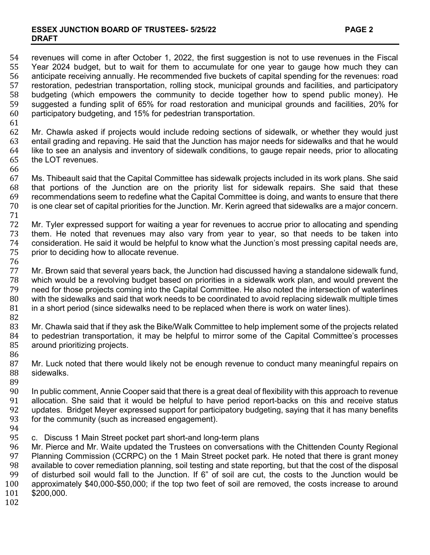## **ESSEX JUNCTION BOARD OF TRUSTEES- 5/25/22 PAGE 2 DRAFT**

54 revenues will come in after October 1, 2022, the first suggestion is not to use revenues in the Fiscal<br>55 Year 2024 budget, but to wait for them to accumulate for one vear to gauge how much they can 55 Year 2024 budget, but to wait for them to accumulate for one year to gauge how much they can<br>56 anticipate receiving annually. He recommended five buckets of capital spending for the revenues: road 56 anticipate receiving annually. He recommended five buckets of capital spending for the revenues: road 57 restoration, pedestrian transportation, rolling stock, municipal grounds and facilities, and participatory 58 budgeting (which empowers the community to decide together how to spend public money). He<br>59 suggested a funding split of 65% for road restoration and municipal grounds and facilities, 20% for 59 suggested a funding split of 65% for road restoration and municipal grounds and facilities, 20% for 500 for<br>60 participatory budgeting, and 15% for pedestrian transportation. participatory budgeting, and 15% for pedestrian transportation.

61<br>62 62 Mr. Chawla asked if projects would include redoing sections of sidewalk, or whether they would just 63 entail grading and repaving. He said that the stunding and repaving. 63 entail grading and repaving. He said that the Junction has major needs for sidewalks and that he would<br>64 like to see an analysis and inventory of sidewalk conditions, to gauge repair needs, prior to allocating 64 like to see an analysis and inventory of sidewalk conditions, to gauge repair needs, prior to allocating 65 the LOT revenues. the LOT revenues.

66<br>67 67 Ms. Thibeault said that the Capital Committee has sidewalk projects included in its work plans. She said<br>68 that portions of the Junction are on the priority list for sidewalk repairs. She said that these 68 that portions of the Junction are on the priority list for sidewalk repairs. She said that these 69 recommendations seem to redefine what the Capital Committee is doing, and wants to ensure that there 610<br>60 is one clear set of capital priorities for the Junction. Mr. Kerin agreed that sidewalks are a maior concern is one clear set of capital priorities for the Junction. Mr. Kerin agreed that sidewalks are a major concern.

71 72 Mr. Tyler expressed support for waiting a year for revenues to accrue prior to allocating and spending<br>73 them. He noted that revenues may also vary from year to year, so that needs to be taken into 73 them. He noted that revenues may also vary from year to year, so that needs to be taken into 74 consideration. He said it would be helpful to know what the Junction's most pressing capital needs are, 75 prior to deciding how to allocate revenue. prior to deciding how to allocate revenue.

76<br>77 77 Mr. Brown said that several years back, the Junction had discussed having a standalone sidewalk fund,<br>78 Which would be a revolving budget based on priorities in a sidewalk work plan, and would prevent the 78 which would be a revolving budget based on priorities in a sidewalk work plan, and would prevent the 79 need for those projects coming into the Capital Committee. He also noted the intersection of waterlines 79 need for those projects coming into the Capital Committee. He also noted the intersection of waterlines 80 with the sidewalks and said that work needs to be coordinated to avoid replacing sidewalk multiple times 81 inclusted innes<br>81 in a short period (since sidewalks need to be replaced when there is work on water lines). in a short period (since sidewalks need to be replaced when there is work on water lines).

82<br>83

83 Mr. Chawla said that if they ask the Bike/Walk Committee to help implement some of the projects related<br>84 to pedestrian transportation, it may be helpful to mirror some of the Capital Committee's processes 84 to pedestrian transportation, it may be helpful to mirror some of the Capital Committee's processes 85 around prioritizing projects. around prioritizing projects.

86<br>87 87 Mr. Luck noted that there would likely not be enough revenue to conduct many meaningful repairs on 88 sidewalks. sidewalks.

89<br>90 90 In public comment, Annie Cooper said that there is a great deal of flexibility with this approach to revenue 91 allocation. She said that it would be helpful to have period report-backs on this and receive status<br>92 updates. Bridget Mever expressed support for participatory budgeting, saving that it has many benefits 92 updates. Bridget Meyer expressed support for participatory budgeting, saying that it has many benefits 93<br>93 for the community (such as increased engagement). for the community (such as increased engagement).

- 
- 94<br>95 95 c. Discuss 1 Main Street pocket part short-and long-term plans<br>96 Mr. Pierce and Mr. Waite updated the Trustees on conversation

96 Mr. Pierce and Mr. Waite updated the Trustees on conversations with the Chittenden County Regional<br>97 Planning Commission (CCRPC) on the 1 Main Street pocket park. He noted that there is grant monev 97 Planning Commission (CCRPC) on the 1 Main Street pocket park. He noted that there is grant money<br>98 available to cover remediation planning, soil testing and state reporting, but that the cost of the disposal 98 available to cover remediation planning, soil testing and state reporting, but that the cost of the disposal<br>99 of disturbed soil would fall to the Junction. If 6" of soil are cut, the costs to the Junction would be 99 of disturbed soil would fall to the Junction. If 6" of soil are cut, the costs to the Junction would be 100<br>100 approximately \$40,000-\$50,000; if the top two feet of soil are removed, the costs increase to around 100 approximately \$40,000-\$50,000; if the top two feet of soil are removed, the costs increase to around \$200,000.

102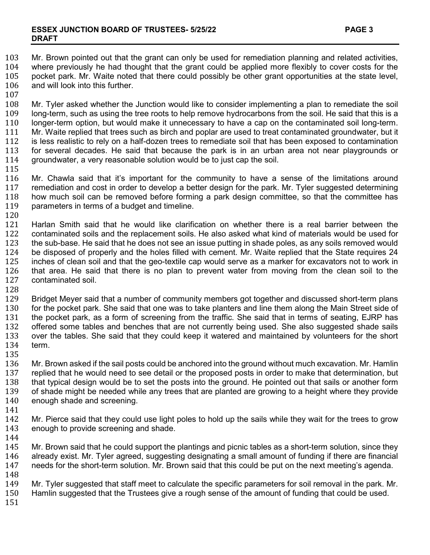103 Mr. Brown pointed out that the grant can only be used for remediation planning and related activities, 104 where previously he had thought that the grant could be applied more flexibly to cover costs for the 104 where previously he had thought that the grant could be applied more flexibly to cover costs for the 105 pocket park. Mr. Waite noted that there could possibly be other grant opportunities at the state level, 105 pocket park. Mr. Waite noted that there could possibly be other grant opportunities at the state level, 106 and will look into this further. and will look into this further.

 $\frac{107}{108}$ 

108 Mr. Tyler asked whether the Junction would like to consider implementing a plan to remediate the soil<br>109 Iong-term, such as using the tree roots to help remove hydrocarbons from the soil. He said that this is a 109 long-term, such as using the tree roots to help remove hydrocarbons from the soil. He said that this is a<br>110 longer-term option, but would make it unnecessary to have a cap on the contaminated soil long-term. 110 longer-term option, but would make it unnecessary to have a cap on the contaminated soil long-term.<br>111 Mr. Waite replied that trees such as birch and poplar are used to treat contaminated groundwater, but it 111 Mr. Waite replied that trees such as birch and poplar are used to treat contaminated groundwater, but it<br>112 is less realistic to rely on a half-dozen trees to remediate soil that has been exposed to contamination 112 is less realistic to rely on a half-dozen trees to remediate soil that has been exposed to contamination<br>113 for several decades. He said that because the park is in an urban area not near playgrounds or 113 for several decades. He said that because the park is in an urban area not near playgrounds or 114 groundwater, a very reasonable solution would be to just cap the soil. groundwater, a very reasonable solution would be to just cap the soil.

115<br>116 116 Mr. Chawla said that it's important for the community to have a sense of the limitations around<br>117 remediation and cost in order to develop a better design for the park. Mr. Tyler suggested determining 117 remediation and cost in order to develop a better design for the park. Mr. Tyler suggested determining<br>118 how much soil can be removed before forming a park design committee, so that the committee has 118 how much soil can be removed before forming a park design committee, so that the committee has 119 parameters in terms of a budget and timeline. parameters in terms of a budget and timeline.

 $\begin{array}{c} 120 \\ 121 \end{array}$ 121 Harlan Smith said that he would like clarification on whether there is a real barrier between the 122 contaminated soils and the replacement soils. He also asked what kind of materials would be used for 122 contaminated soils and the replacement soils. He also asked what kind of materials would be used for 123 the sub-base. He said that he does not see an issue putting in shade poles, as any soils removed would 123 the sub-base. He said that he does not see an issue putting in shade poles, as any soils removed would<br>124 be disposed of properly and the holes filled with cement. Mr. Waite replied that the State requires 24 124 be disposed of properly and the holes filled with cement. Mr. Waite replied that the State requires 24<br>125 inches of clean soil and that the geo-textile cap would serve as a marker for excavators not to work in 125 inches of clean soil and that the geo-textile cap would serve as a marker for excavators not to work in<br>126 that area. He said that there is no plan to prevent water from moving from the clean soil to the 126 that area. He said that there is no plan to prevent water from moving from the clean soil to the 127 contaminated soil. contaminated soil.

128<br>129

129 Bridget Meyer said that a number of community members got together and discussed short-term plans<br>130 for the pocket park. She said that one was to take planters and line them along the Main Street side of 130 for the pocket park. She said that one was to take planters and line them along the Main Street side of 131 the pocket park. as a form of screening from the traffic. She said that in terms of seating. EJRP has 131 the pocket park, as a form of screening from the traffic. She said that in terms of seating, EJRP has 132 offered some tables and benches that are not currently being used. She also suggested shade sails 132 offered some tables and benches that are not currently being used. She also suggested shade sails<br>133 over the tables. She said that they could keep it watered and maintained by volunteers for the short 133 over the tables. She said that they could keep it watered and maintained by volunteers for the short term.

135<br>136 136 Mr. Brown asked if the sail posts could be anchored into the ground without much excavation. Mr. Hamlin<br>137 Feplied that he would need to see detail or the proposed posts in order to make that determination, but 137 replied that he would need to see detail or the proposed posts in order to make that determination, but 138<br>138 that typical design would be to set the posts into the ground. He pointed out that sails or another form 138 that typical design would be to set the posts into the ground. He pointed out that sails or another form<br>139 of shade might be needed while any trees that are planted are growing to a height where they provide 139 of shade might be needed while any trees that are planted are growing to a height where they provide 140 enough shade and screening. enough shade and screening.

141

142 Mr. Pierce said that they could use light poles to hold up the sails while they wait for the trees to grow<br>143 enough to provide screening and shade. enough to provide screening and shade.

144<br>145

145 Mr. Brown said that he could support the plantings and picnic tables as a short-term solution, since they<br>146 already exist. Mr. Tyler agreed, suggesting designating a small amount of funding if there are financial 146 already exist. Mr. Tyler agreed, suggesting designating a small amount of funding if there are financial<br>147 needs for the short-term solution. Mr. Brown said that this could be put on the next meeting's agenda. needs for the short-term solution. Mr. Brown said that this could be put on the next meeting's agenda.

148<br>149 149 Mr. Tyler suggested that staff meet to calculate the specific parameters for soil removal in the park. Mr.<br>150 Hamlin suggested that the Trustees give a rough sense of the amount of funding that could be used. Hamlin suggested that the Trustees give a rough sense of the amount of funding that could be used.

151